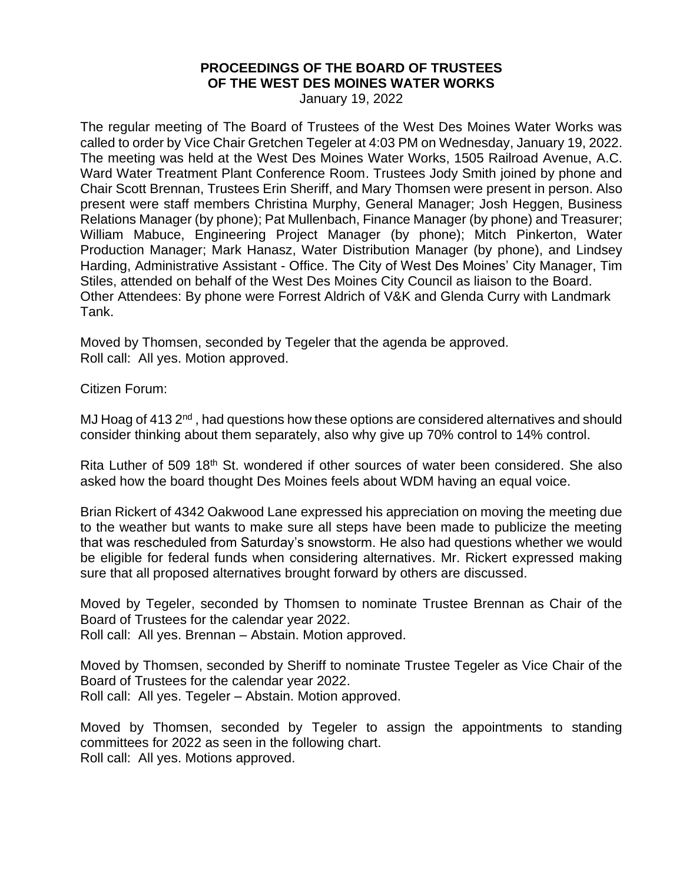## **PROCEEDINGS OF THE BOARD OF TRUSTEES OF THE WEST DES MOINES WATER WORKS**

January 19, 2022

The regular meeting of The Board of Trustees of the West Des Moines Water Works was called to order by Vice Chair Gretchen Tegeler at 4:03 PM on Wednesday, January 19, 2022. The meeting was held at the West Des Moines Water Works, 1505 Railroad Avenue, A.C. Ward Water Treatment Plant Conference Room. Trustees Jody Smith joined by phone and Chair Scott Brennan, Trustees Erin Sheriff, and Mary Thomsen were present in person. Also present were staff members Christina Murphy, General Manager; Josh Heggen, Business Relations Manager (by phone); Pat Mullenbach, Finance Manager (by phone) and Treasurer; William Mabuce, Engineering Project Manager (by phone); Mitch Pinkerton, Water Production Manager; Mark Hanasz, Water Distribution Manager (by phone), and Lindsey Harding, Administrative Assistant - Office. The City of West Des Moines' City Manager, Tim Stiles, attended on behalf of the West Des Moines City Council as liaison to the Board. Other Attendees: By phone were Forrest Aldrich of V&K and Glenda Curry with Landmark Tank.

Moved by Thomsen, seconded by Tegeler that the agenda be approved. Roll call: All yes. Motion approved.

Citizen Forum:

MJ Hoag of 413 2<sup>nd</sup>, had questions how these options are considered alternatives and should consider thinking about them separately, also why give up 70% control to 14% control.

Rita Luther of 509 18<sup>th</sup> St. wondered if other sources of water been considered. She also asked how the board thought Des Moines feels about WDM having an equal voice.

Brian Rickert of 4342 Oakwood Lane expressed his appreciation on moving the meeting due to the weather but wants to make sure all steps have been made to publicize the meeting that was rescheduled from Saturday's snowstorm. He also had questions whether we would be eligible for federal funds when considering alternatives. Mr. Rickert expressed making sure that all proposed alternatives brought forward by others are discussed.

Moved by Tegeler, seconded by Thomsen to nominate Trustee Brennan as Chair of the Board of Trustees for the calendar year 2022. Roll call: All yes. Brennan – Abstain. Motion approved.

Moved by Thomsen, seconded by Sheriff to nominate Trustee Tegeler as Vice Chair of the Board of Trustees for the calendar year 2022. Roll call: All yes. Tegeler – Abstain. Motion approved.

Moved by Thomsen, seconded by Tegeler to assign the appointments to standing committees for 2022 as seen in the following chart. Roll call: All yes. Motions approved.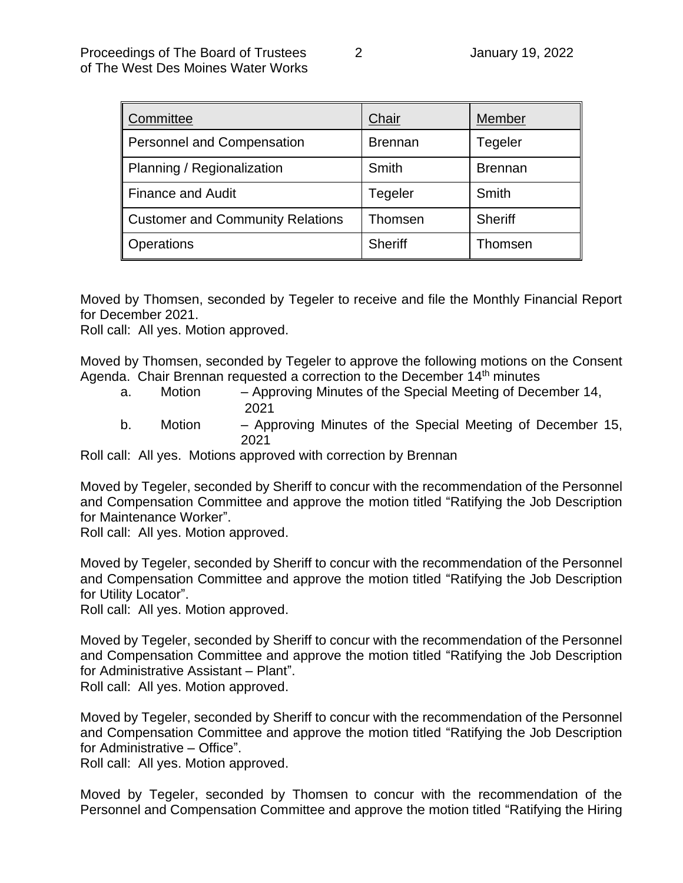| Committee                         | Chair          | Member         |
|-----------------------------------|----------------|----------------|
| <b>Personnel and Compensation</b> | <b>Brennan</b> | Tegeler        |
| Planning / Regionalization        | Smith          | <b>Brennan</b> |
| Finance and Audit                 | Tegeler        | Smith          |
| Customer and Community Relations  | Thomsen        | <b>Sheriff</b> |
| Operations                        | <b>Sheriff</b> | Thomsen        |

Moved by Thomsen, seconded by Tegeler to receive and file the Monthly Financial Report for December 2021.

Roll call: All yes. Motion approved.

Moved by Thomsen, seconded by Tegeler to approve the following motions on the Consent Agenda. Chair Brennan requested a correction to the December 14<sup>th</sup> minutes

- a. Motion Approving Minutes of the Special Meeting of December 14, 2021
- b. Motion Approving Minutes of the Special Meeting of December 15, 2021

Roll call: All yes. Motions approved with correction by Brennan

Moved by Tegeler, seconded by Sheriff to concur with the recommendation of the Personnel and Compensation Committee and approve the motion titled "Ratifying the Job Description for Maintenance Worker".

Roll call: All yes. Motion approved.

Moved by Tegeler, seconded by Sheriff to concur with the recommendation of the Personnel and Compensation Committee and approve the motion titled "Ratifying the Job Description for Utility Locator".

Roll call: All yes. Motion approved.

Moved by Tegeler, seconded by Sheriff to concur with the recommendation of the Personnel and Compensation Committee and approve the motion titled "Ratifying the Job Description for Administrative Assistant – Plant".

Roll call: All yes. Motion approved.

Moved by Tegeler, seconded by Sheriff to concur with the recommendation of the Personnel and Compensation Committee and approve the motion titled "Ratifying the Job Description for Administrative – Office".

Roll call: All yes. Motion approved.

Moved by Tegeler, seconded by Thomsen to concur with the recommendation of the Personnel and Compensation Committee and approve the motion titled "Ratifying the Hiring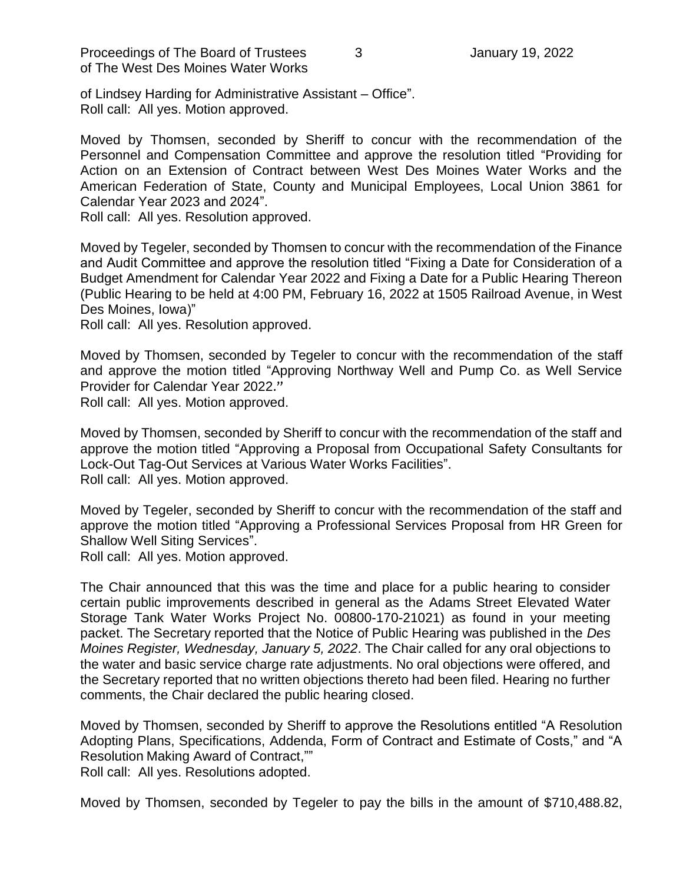Proceedings of The Board of Trustees 3 3 January 19, 2022 of The West Des Moines Water Works

of Lindsey Harding for Administrative Assistant – Office". Roll call: All yes. Motion approved.

Moved by Thomsen, seconded by Sheriff to concur with the recommendation of the Personnel and Compensation Committee and approve the resolution titled "Providing for Action on an Extension of Contract between West Des Moines Water Works and the American Federation of State, County and Municipal Employees, Local Union 3861 for Calendar Year 2023 and 2024".

Roll call: All yes. Resolution approved.

Moved by Tegeler, seconded by Thomsen to concur with the recommendation of the Finance and Audit Committee and approve the resolution titled "Fixing a Date for Consideration of a Budget Amendment for Calendar Year 2022 and Fixing a Date for a Public Hearing Thereon (Public Hearing to be held at 4:00 PM, February 16, 2022 at 1505 Railroad Avenue, in West Des Moines, Iowa)"

Roll call: All yes. Resolution approved.

Moved by Thomsen, seconded by Tegeler to concur with the recommendation of the staff and approve the motion titled "Approving Northway Well and Pump Co. as Well Service Provider for Calendar Year 2022."

Roll call: All yes. Motion approved.

Moved by Thomsen, seconded by Sheriff to concur with the recommendation of the staff and approve the motion titled "Approving a Proposal from Occupational Safety Consultants for Lock-Out Tag-Out Services at Various Water Works Facilities". Roll call: All yes. Motion approved.

Moved by Tegeler, seconded by Sheriff to concur with the recommendation of the staff and approve the motion titled "Approving a Professional Services Proposal from HR Green for Shallow Well Siting Services".

Roll call: All yes. Motion approved.

The Chair announced that this was the time and place for a public hearing to consider certain public improvements described in general as the Adams Street Elevated Water Storage Tank Water Works Project No. 00800-170-21021) as found in your meeting packet. The Secretary reported that the Notice of Public Hearing was published in the *Des Moines Register, Wednesday, January 5, 2022*. The Chair called for any oral objections to the water and basic service charge rate adjustments. No oral objections were offered, and the Secretary reported that no written objections thereto had been filed. Hearing no further comments, the Chair declared the public hearing closed.

Moved by Thomsen, seconded by Sheriff to approve the Resolutions entitled "A Resolution Adopting Plans, Specifications, Addenda, Form of Contract and Estimate of Costs," and "A Resolution Making Award of Contract,""

Roll call: All yes. Resolutions adopted.

Moved by Thomsen, seconded by Tegeler to pay the bills in the amount of \$710,488.82,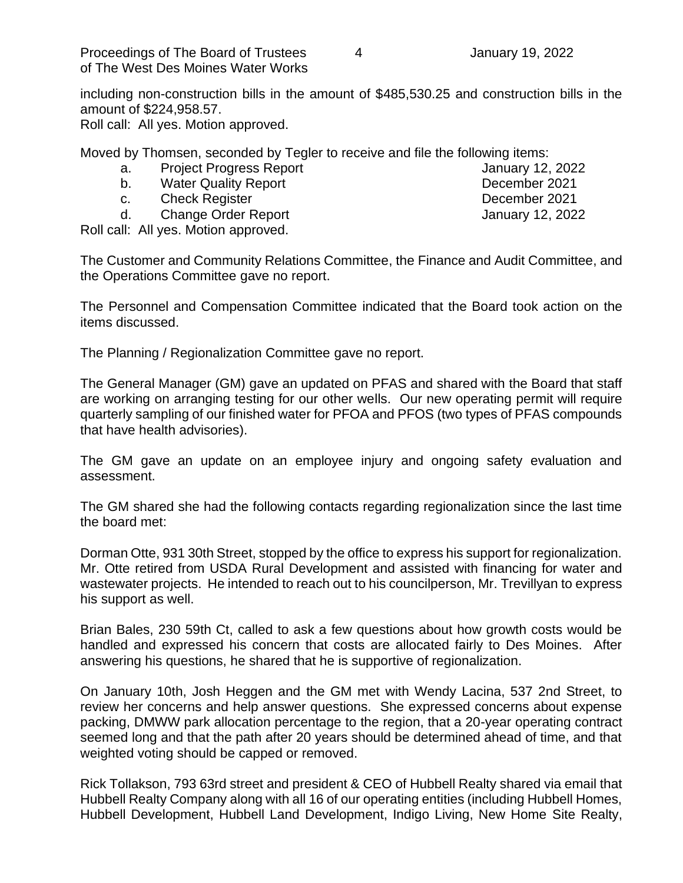Proceedings of The Board of Trustees 4 January 19, 2022 of The West Des Moines Water Works

including non-construction bills in the amount of \$485,530.25 and construction bills in the amount of \$224,958.57.

Roll call: All yes. Motion approved.

Moved by Thomsen, seconded by Tegler to receive and file the following items:

- a. Project Progress Report **Figure 2018** January 12, 2022
- b. Water Quality Report **December 2021**
- c. Check Register **December 2021**
- d. Change Order Report **January 12, 2022**

Roll call: All yes. Motion approved.

The Customer and Community Relations Committee, the Finance and Audit Committee, and the Operations Committee gave no report.

The Personnel and Compensation Committee indicated that the Board took action on the items discussed.

The Planning / Regionalization Committee gave no report.

The General Manager (GM) gave an updated on PFAS and shared with the Board that staff are working on arranging testing for our other wells. Our new operating permit will require quarterly sampling of our finished water for PFOA and PFOS (two types of PFAS compounds that have health advisories).

The GM gave an update on an employee injury and ongoing safety evaluation and assessment.

The GM shared she had the following contacts regarding regionalization since the last time the board met:

Dorman Otte, 931 30th Street, stopped by the office to express his support for regionalization. Mr. Otte retired from USDA Rural Development and assisted with financing for water and wastewater projects. He intended to reach out to his councilperson, Mr. Trevillyan to express his support as well.

Brian Bales, 230 59th Ct, called to ask a few questions about how growth costs would be handled and expressed his concern that costs are allocated fairly to Des Moines. After answering his questions, he shared that he is supportive of regionalization.

On January 10th, Josh Heggen and the GM met with Wendy Lacina, 537 2nd Street, to review her concerns and help answer questions. She expressed concerns about expense packing, DMWW park allocation percentage to the region, that a 20-year operating contract seemed long and that the path after 20 years should be determined ahead of time, and that weighted voting should be capped or removed.

Rick Tollakson, 793 63rd street and president & CEO of Hubbell Realty shared via email that Hubbell Realty Company along with all 16 of our operating entities (including Hubbell Homes, Hubbell Development, Hubbell Land Development, Indigo Living, New Home Site Realty,